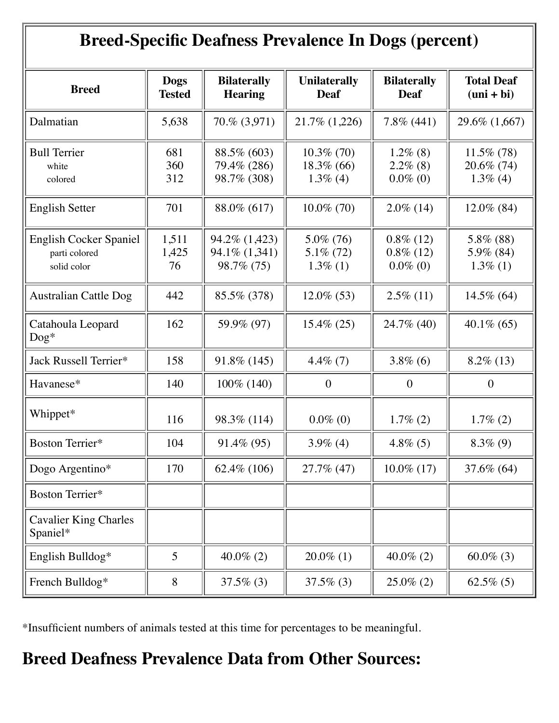| <b>Breed-Specific Deafness Prevalence In Dogs (percent)</b>   |                       |                                               |                                               |                                             |                                               |
|---------------------------------------------------------------|-----------------------|-----------------------------------------------|-----------------------------------------------|---------------------------------------------|-----------------------------------------------|
| <b>Breed</b>                                                  | Dogs<br><b>Tested</b> | <b>Bilaterally</b><br><b>Hearing</b>          | <b>Unilaterally</b><br><b>Deaf</b>            | <b>Bilaterally</b><br><b>Deaf</b>           | <b>Total Deaf</b><br>$(uni + bi)$             |
| Dalmatian                                                     | 5,638                 | 70.% (3,971)                                  | 21.7% (1,226)                                 | $7.8\%$ (441)                               | 29.6% (1,667)                                 |
| <b>Bull Terrier</b><br>white<br>colored                       | 681<br>360<br>312     | 88.5% (603)<br>79.4% (286)<br>98.7% (308)     | $10.3\%$ (70)<br>$18.3\%$ (66)<br>$1.3\%$ (4) | $1.2\%$ (8)<br>$2.2\%$ (8)<br>$0.0\%$ (0)   | $11.5\%$ (78)<br>$20.6\%$ (74)<br>$1.3\%$ (4) |
| <b>English Setter</b>                                         | 701                   | 88.0% (617)                                   | $10.0\%$ (70)                                 | $2.0\%$ (14)                                | $12.0\%$ (84)                                 |
| <b>English Cocker Spaniel</b><br>parti colored<br>solid color | 1,511<br>1,425<br>76  | 94.2% (1,423)<br>94.1\% (1,341)<br>98.7% (75) | $5.0\%$ (76)<br>$5.1\%$ (72)<br>$1.3\%$ (1)   | $0.8\%$ (12)<br>$0.8\%$ (12)<br>$0.0\%$ (0) | 5.8% (88)<br>5.9% (84)<br>$1.3\%$ (1)         |
| <b>Australian Cattle Dog</b>                                  | 442                   | 85.5% (378)                                   | $12.0\%$ (53)                                 | $2.5\%$ (11)                                | $14.5\%$ (64)                                 |
| Catahoula Leopard<br>$\log^*$                                 | 162                   | 59.9% (97)                                    | $15.4\% (25)$                                 | 24.7% (40)                                  | $40.1\%$ (65)                                 |
| Jack Russell Terrier*                                         | 158                   | 91.8% (145)                                   | $4.4\%$ (7)                                   | $3.8\%$ (6)                                 | $8.2\%$ (13)                                  |
| Havanese*                                                     | 140                   | 100% (140)                                    | $\overline{0}$                                | $\boldsymbol{0}$                            | $\boldsymbol{0}$                              |
| Whippet*                                                      | 116                   | 98.3% (114)                                   | $0.0\%$ (0)                                   | $1.7\%$ (2)                                 | $1.7\%$ (2)                                   |
| Boston Terrier*                                               | 104                   | 91.4% (95)                                    | $3.9\%$ (4)                                   | $4.8\%$ (5)                                 | $8.3\%$ (9)                                   |
| Dogo Argentino*                                               | 170                   | $62.4\%$ (106)                                | 27.7% (47)                                    | $10.0\%$ (17)                               | 37.6% (64)                                    |
| Boston Terrier*                                               |                       |                                               |                                               |                                             |                                               |
| <b>Cavalier King Charles</b><br>Spaniel*                      |                       |                                               |                                               |                                             |                                               |
| English Bulldog*                                              | 5                     | $40.0\%$ (2)                                  | $20.0\%$ (1)                                  | $40.0\%$ (2)                                | 60.0% (3)                                     |
| French Bulldog*                                               | 8                     | $37.5\%$ (3)                                  | $37.5\%$ (3)                                  | $25.0\%$ (2)                                | $62.5\%$ (5)                                  |

\*Insufficient numbers of animals tested at this time for percentages to be meaningful.

## **Breed Deafness Prevalence Data from Other Sources:**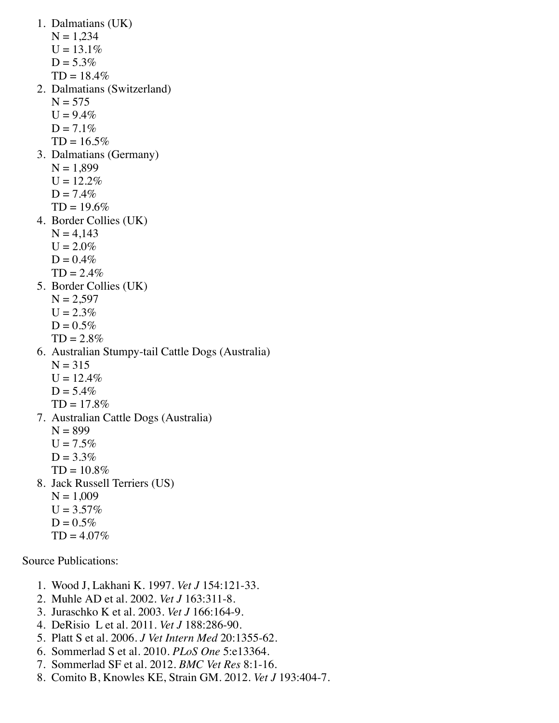1. Dalmatians (UK)  $N = 1,234$  $U = 13.1\%$  $D = 5.3\%$  $TD = 18.4\%$ 2. Dalmatians (Switzerland)  $N = 575$  $U = 9.4\%$  $D = 7.1\%$  $TD = 16.5\%$ 3. Dalmatians (Germany)  $N = 1,899$  $U = 12.2\%$  $D = 7.4\%$  $TD = 19.6\%$ 4. Border Collies (UK)  $N = 4,143$  $U = 2.0\%$  $D = 0.4\%$  $TD = 2.4\%$ 5. Border Collies (UK)  $N = 2,597$  $U = 2.3\%$  $D = 0.5\%$  $TD = 2.8\%$ 6. Australian Stumpy-tail Cattle Dogs (Australia)  $N = 315$  $U = 12.4\%$  $D = 5.4%$  $TD = 17.8\%$ 7. Australian Cattle Dogs (Australia)  $N = 899$  $U = 7.5\%$  $D = 3.3%$  $TD = 10.8\%$ 8. Jack Russell Terriers (US)  $N = 1,009$  $U = 3.57\%$  $D = 0.5%$  $TD = 4.07\%$ Source Publications:

- 1. Wood J, Lakhani K. 1997. *Vet J* 154:121-33.
- 2. Muhle AD et al. 2002. *Vet J* 163:311-8.
- 3. Juraschko K et al. 2003. *Vet J* 166:164-9.
- 4. DeRisio L et al. 2011. *Vet J* 188:286-90.
- 5. Platt S et al. 2006. *J Vet Intern Med* 20:1355-62.
- 6. Sommerlad S et al. 2010. *PLoS One* 5:e13364.
- 7. Sommerlad SF et al. 2012. *BMC Vet Res* 8:1-16.
- 8. Comito B, Knowles KE, Strain GM. 2012. *Vet J* 193:404-7.